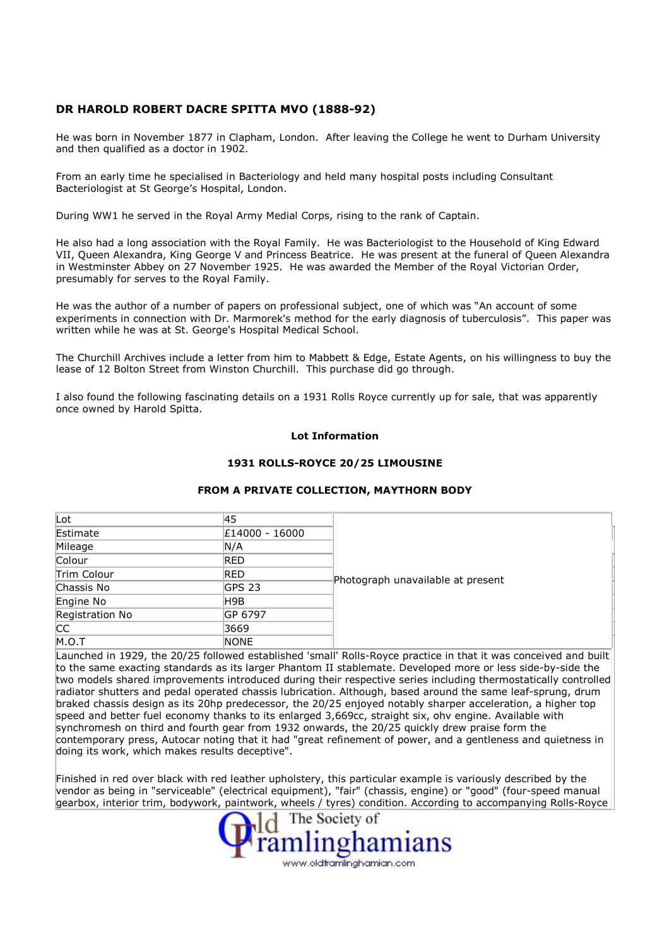## DR HAROLD ROBERT DACRE SPITTA MVO (1888-92)

He was born in November 1877 in Clapham, London. After leaving the College he went to Durham University and then qualified as a doctor in 1902.

From an early time he specialised in Bacteriology and held many hospital posts including Consultant Bacteriologist at St George's Hospital, London.

During WW1 he served in the Royal Army Medial Corps, rising to the rank of Captain.

He also had a long association with the Royal Family. He was Bacteriologist to the Household of King Edward VII, Queen Alexandra, King George V and Princess Beatrice. He was present at the funeral of Queen Alexandra in Westminster Abbey on 27 November 1925. He was awarded the Member of the Royal Victorian Order, presumably for serves to the Royal Family.

He was the author of a number of papers on professional subject, one of which was "An account of some experiments in connection with Dr. Marmorek's method for the early diagnosis of tuberculosis". This paper was written while he was at St. George's Hospital Medical School.

The Churchill Archives include a letter from him to Mabbett & Edge, Estate Agents, on his willingness to buy the lease of 12 Bolton Street from Winston Churchill. This purchase did go through.

I also found the following fascinating details on a 1931 Rolls Royce currently up for sale, that was apparently once owned by Harold Spitta.

## Lot Information

## 1931 ROLLS-ROYCE 20/25 LIMOUSINE

## FROM A PRIVATE COLLECTION, MAYTHORN BODY

| Lot             | 45             | Photograph unavailable at present |  |
|-----------------|----------------|-----------------------------------|--|
| Estimate        | £14000 - 16000 |                                   |  |
| Mileage         | N/A            |                                   |  |
| Colour          | RED            |                                   |  |
| Trim Colour     | RED            |                                   |  |
| Chassis No      | <b>GPS 23</b>  |                                   |  |
| Engine No       | H9B            |                                   |  |
| Registration No | IGP 6797       |                                   |  |
| <b>CC</b>       | 3669           |                                   |  |
| M.O.T           | <b>NONE</b>    |                                   |  |

Launched in 1929, the 20/25 followed established 'small' Rolls-Royce practice in that it was conceived and built to the same exacting standards as its larger Phantom II stablemate. Developed more or less side-by-side the two models shared improvements introduced during their respective series including thermostatically controlled radiator shutters and pedal operated chassis lubrication. Although, based around the same leaf-sprung, drum braked chassis design as its 20hp predecessor, the 20/25 enjoyed notably sharper acceleration, a higher top speed and better fuel economy thanks to its enlarged 3,669cc, straight six, ohv engine. Available with synchromesh on third and fourth gear from 1932 onwards, the 20/25 quickly drew praise form the contemporary press, Autocar noting that it had "great refinement of power, and a gentleness and quietness in doing its work, which makes results deceptive".

Finished in red over black with red leather upholstery, this particular example is variously described by the vendor as being in "serviceable" (electrical equipment), "fair" (chassis, engine) or "good" (four-speed manual gearbox, interior trim, bodywork, paintwork, wheels / tyres) condition. According to accompanying Rolls-Royce